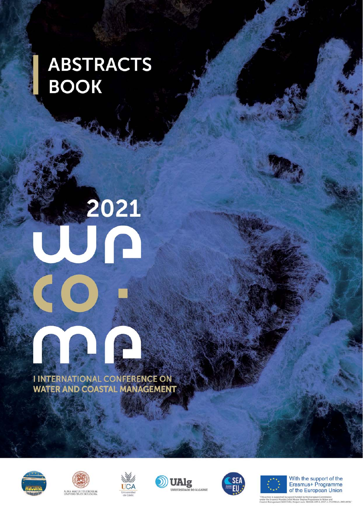## **ABSTRACTS BOOK**

# 2021 3 R

**I INTERNATIONAL CONFERENCE ON WATER AND COASTAL MANAGEMENT** 













With the support of the<br>Erasmus+ Programme of the European Union

.<br>Indus Joint Master Degree Programme In Water and<br>WACOMA: Project num: 586596-EPP-1-2017-1-IT-EPPKA1-JMD-MOB."<br>WACOMA: Project num: 586596-EPP-1-2017-1-IT-EPPKA1-JMD-MOB."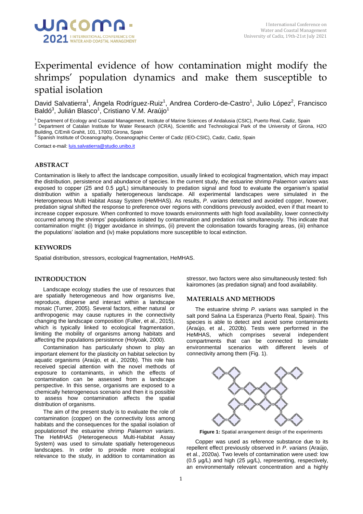

### Experimental evidence of how contamination might modify the shrimps' population dynamics and make them susceptible to spatial isolation

David Salvatierra<sup>1</sup>, Ángela Rodríguez-Ruiz<sup>1</sup>, Andrea Cordero-de-Castro<sup>1</sup>, Julio López<sup>2</sup>, Francisco Baldó $^3$ , Julián Blasco $^1$ , Cristiano V.M. Araújo $^1$ 

<sup>1</sup> Department of Ecology and Coastal Management, Institute of Marine Sciences of Andalusia (CSIC), Puerto Real, Cadiz, Spain<br><sup>2</sup> Department of Catelan Institute for Water Research (ICRA), Scientific and Technological Park

<sup>2</sup> Department of Catalan Institute for Water Research (ICRA), Scientific and Technological Park of the University of Girona, H2O Building, C/Emili Grahit, 101, 17003 Girona, Spain

<sup>3</sup> Spanish Institute of Oceanography, Oceanographic Center of Cadiz (IEO-CSIC), Cadiz, Cadiz, Spain

Contact e-mail[: luis.salvatierra@studio.unibo.it](mailto:luis.salvatierra@studio.unibo.it)

#### **ABSTRACT**

Contamination is likely to affect the landscape composition, usually linked to ecological fragmentation, which may impact the distribution, persistence and abundance of species. In the current study, the estuarine shrimp *Palaemon varians* was exposed to copper (25 and 0.5 μg/L) simultaneously to predation signal and food to evaluate the organism's spatial distribution within a spatially heterogeneous landscape. All experimental landscapes were simulated in the Heterogeneous Multi Habitat Assay System (HeMHAS). As results, *P*. *varians* detected and avoided copper, however, predation signal shifted the response to preference over regions with conditions previously avoided, even if that meant to increase copper exposure. When confronted to move towards environments with high food availability, lower connectivity occurred among the shrimps' populations isolated by contamination and predation risk simultaneously. This indicate that contamination might: (i) trigger avoidance in shrimps, (ii) prevent the colonisation towards foraging areas, (iii) enhance the populations' isolation and (iv) make populations more susceptible to local extinction.

#### **KEYWORDS**

Spatial distribution, stressors, ecological fragmentation, HeMHAS.

#### **INTRODUCTION**

Landscape ecology studies the use of resources that are spatially heterogeneous and how organisms live, reproduce, disperse and interact within a landscape mosaic (Turner, 2005). Several factors, either natural or anthropogenic may cause ruptures in the connectivity changing the landscape composition (Fuller, et al., 2015), which is typically linked to ecological fragmentation, limiting the mobility of organisms among habitats and affecting the populations persistence (Holyoak, 2000).

Contamination has particularly shown to play an important element for the plasticity on habitat selection by aquatic organisms (Araújo, et al., 2020b). This role has received special attention with the novel methods of exposure to contaminants, in which the effects of contamination can be assessed from a landscape perspective. In this sense, organisms are exposed to a chemically heterogeneous scenario and then it is possible to assess how contamination affects the spatial distribution of organisms.

The aim of the present study is to evaluate the role of contamination (copper) on the connectivity loss among habitats and the consequences for the spatial isolation of populationsof the estuarine shrimp *Palaemon varians*. The HeMHAS (Heterogeneous Multi-Habitat Assay System) was used to simulate spatially heterogeneous landscapes. In order to provide more ecological relevance to the study, in addition to contamination as

stressor, two factors were also simultaneously tested: fish kairomones (as predation signal) and food availability.

#### **MATERIALS AND METHODS**

The estuarine shrimp *P*. *varians* was sampled in the salt pond Salina La Esperanza (Puerto Real, Spain). This species is able to detect and avoid some contaminants (Araújo, et al., 2020b). Tests were performed in the HeMHAS, which comprises several independent compartments that can be connected to simulate environmental scenarios with different levels of connectivity among them (Fig. 1).



**Figure 1:** Spatial arrangement design of the experiments

Copper was used as reference substance due to its repellent effect previously observed in *P*. *varians* (Araújo, et al., 2020a). Two levels of contamination were used: low (0.5 μg/L) and high (25 μg/L), representing, respectively, an environmentally relevant concentration and a highly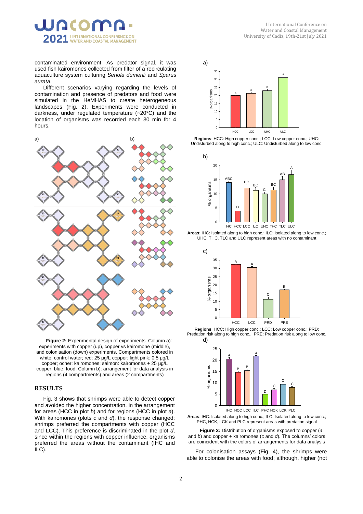

contaminated environment. As predator signal, it was used fish kairomones collected from filter of a recirculating aquaculture system culturing *Seriola dumerili* and *Sparus aurata*.

Different scenarios varying regarding the levels of contamination and presence of predators and food were simulated in the HeMHAS to create heterogeneous landscapes (Fig. 2). Experiments were conducted in darkness, under regulated temperature (~20°C) and the location of organisms was recorded each 30 min for 4 hours.



**Figure 2:** Experimental design of experiments. Column a): experiments with copper (up), copper vs kairomone (middle), and colonisation (down) experiments. Compartments colored in white: control water; red: 25 μg/L copper; light pink: 0.5 μg/L copper; ocher: kairomones; salmon: kairomones + 25 μg/L copper; blue: food. Column b): arrangement for data analysis in regions (4 compartments) and areas (2 compartments)

#### **RESULTS**

Fig. 3 shows that shrimps were able to detect copper and avoided the higher concentration, in the arrangement for areas (HCC in plot *b*) and for regions (HCC in plot *a*). With kairomones (plots *c* and *d*), the response changed: shrimps preferred the compartments with copper (HCC and LCC). This preference is discriminated in the plot *d*, since within the regions with copper influence, organisms preferred the areas without the contaminant (IHC and ILC).



**Regions**: HCC: High copper conc.; LCC: Low copper conc.; UHC: Undisturbed along to high conc.; ULC: Undisturbed along to low conc.













**Figure 3:** Distribution of organisms exposed to copper (*a* and *b*) and copper + kairomones (*c* and *d*). The columns' colors are coincident with the colors of arrangements for data analysis

For colonisation assays (Fig. 4), the shrimps were able to colonise the areas with food; although, higher (not